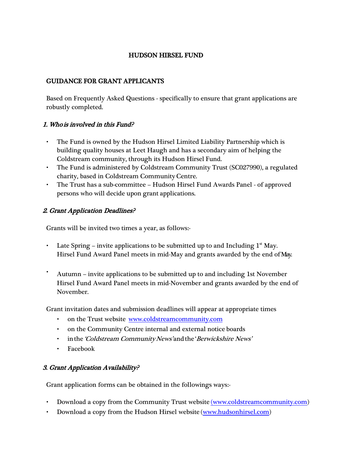### HUDSON HIRSEL FUND

## GUIDANCE FOR GRANT APPLICANTS

Based on Frequently Asked Questions - specifically to ensure that grant applications are robustly completed.

### 1. Who is involved in this Fund?

- The Fund is owned by the Hudson Hirsel Limited Liability Partnership which is building quality houses at Leet Haugh and has a secondary aim of helping the Coldstream community, through its Hudson Hirsel Fund.
- The Fund is administered by Coldstream Community Trust (SC027990), a regulated charity, based in Coldstream CommunityCentre.
- The Trust has a sub-committee Hudson Hirsel Fund Awards Panel of approved persons who will decide upon grant applications.

### 2. Grant Application Deadlines?

Grants will be invited two times a year, as follows:-

- Late Spring invite applications to be submitted up to and Including  $1<sup>st</sup>$  May. Hirsel Fund Award Panel meets in mid-May and grants awarded by the end of May.
- Autumn invite applications to be submitted up to and including 1st November Hirsel Fund Award Panel meets in mid-November and grants awarded by the end of November.

Grant invitation dates and submission deadlines will appear at appropriate times

- on the Trust website [www.coldstreamcommunity.com](http://www.coldstreamcommunity.com/)
- on the Community Centre internal and external notice boards
- in the 'Coldstream CommunityNews' and the 'Berwickshire News'
- Facebook

# 3. Grant Application Availability?

Grant application forms can be obtained in the followings ways:-

- Download a copy from the Community Trust website [\(www.coldstreamcommunity.com\)](http://(www.coldstreamcommunity.com/)
- Download a copy from the Hudson Hirsel website [\(www.hudsonhirsel.com\)](http://www.hudsonhirsel.com/)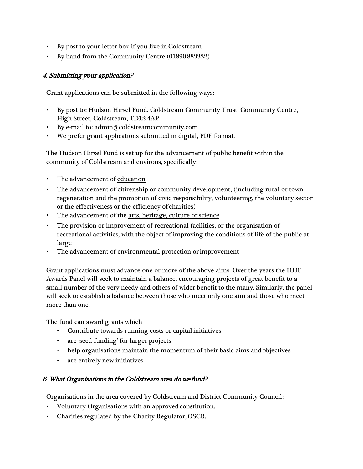- By post to your letter box if you live in Coldstream
- By hand from the Community Centre (01890 883332)

### 4. Submitting your application?

Grant applications can be submitted in the following ways:-

- By post to: Hudson Hirsel Fund. Coldstream Community Trust, Community Centre, High Street, Coldstream, TD12 4AP
- By e-mail to: [admin@coldstreamcommunity.com](mailto:admin@coldstreamcommunity.com)
- We prefer grant applications submitted in digital, PDF format.

The Hudson Hirsel Fund is set up for the advancement of public benefit within the community of Coldstream and environs, specifically:

- The advancement of education
- The advancement of citizenship or community development; (including rural or town regeneration and the promotion of civic responsibility, volunteering, the voluntary sector or the effectiveness or the efficiency of charities)
- The advancement of the arts, heritage, culture or science
- The provision or improvement of recreational facilities, or the organisation of recreational activities, with the object of improving the conditions of life of the public at large
- The advancement of environmental protection or improvement

Grant applications must advance one or more of the above aims. Over the years the HHF Awards Panel will seek to maintain a balance, encouraging projects of great benefit to a small number of the very needy and others of wider benefit to the many. Similarly, the panel will seek to establish a balance between those who meet only one aim and those who meet more than one.

The fund can award grants which

- Contribute towards running costs or capital initiatives
- are 'seed funding' for larger projects
- help organisations maintain the momentum of their basic aims and objectives
- are entirely new initiatives

### 6. What Organisations in the Coldstream area do we fund?

Organisations in the area covered by Coldstream and District Community Council:

- Voluntary Organisations with an approved constitution.
- Charities regulated by the Charity Regulator, OSCR.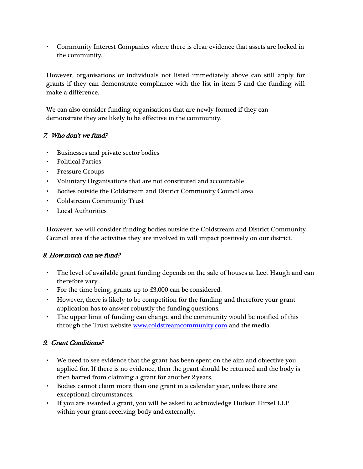• Community Interest Companies where there is clear evidence that assets are locked in the community.

However, organisations or individuals not listed immediately above can still apply for grants if they can demonstrate compliance with the list in item 5 and the funding will make a difference.

We can also consider funding organisations that are newly-formed if they can demonstrate they are likely to be effective in the community.

# 7. Who don't we fund?

- Businesses and private sector bodies
- Political Parties
- Pressure Groups
- Voluntary Organisations that are not constituted and accountable
- Bodies outside the Coldstream and District Community Council area
- Coldstream Community Trust
- Local Authorities

However, we will consider funding bodies outside the Coldstream and District Community Council area if the activities they are involved in will impact positively on our district.

# 8. How much can we fund?

- The level of available grant funding depends on the sale of houses at Leet Haugh and can therefore vary.
- For the time being, grants up to £3,000 can be considered.
- However, there is likely to be competition for the funding and therefore your grant application has to answer robustly the funding questions.
- The upper limit of funding can change and the community would be notified of this through the Trust website [www.coldstreamcommunity.com](http://www.coldstreamcommunity.com/) and the media.

# 9. Grant Conditions?

- We need to see evidence that the grant has been spent on the aim and objective you applied for. If there is no evidence, then the grant should be returned and the body is then barred from claiming a grant for another 2 years.
- Bodies cannot claim more than one grant in a calendar year, unless there are exceptional circumstances.
- If you are awarded a grant, you will be asked to acknowledge Hudson Hirsel LLP within your grant-receiving body and externally.